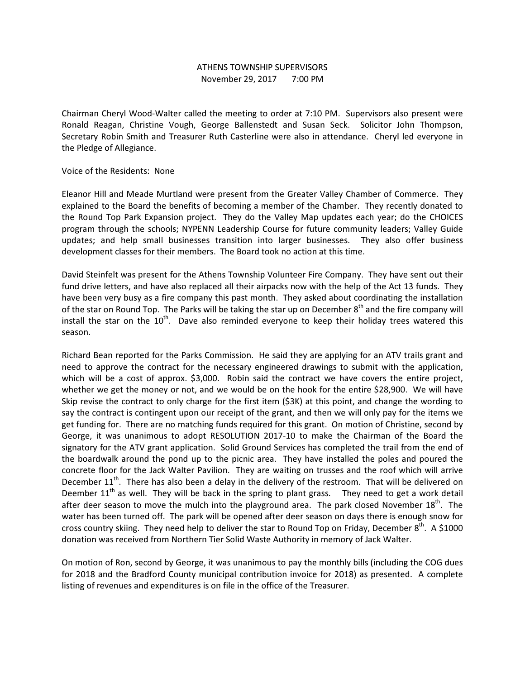## ATHENS TOWNSHIP SUPERVISORS November 29, 2017 7:00 PM

Chairman Cheryl Wood-Walter called the meeting to order at 7:10 PM. Supervisors also present were Ronald Reagan, Christine Vough, George Ballenstedt and Susan Seck. Solicitor John Thompson, Secretary Robin Smith and Treasurer Ruth Casterline were also in attendance. Cheryl led everyone in the Pledge of Allegiance.

## Voice of the Residents: None

Eleanor Hill and Meade Murtland were present from the Greater Valley Chamber of Commerce. They explained to the Board the benefits of becoming a member of the Chamber. They recently donated to the Round Top Park Expansion project. They do the Valley Map updates each year; do the CHOICES program through the schools; NYPENN Leadership Course for future community leaders; Valley Guide updates; and help small businesses transition into larger businesses. They also offer business development classes for their members. The Board took no action at this time.

David Steinfelt was present for the Athens Township Volunteer Fire Company. They have sent out their fund drive letters, and have also replaced all their airpacks now with the help of the Act 13 funds. They have been very busy as a fire company this past month. They asked about coordinating the installation of the star on Round Top. The Parks will be taking the star up on December 8<sup>th</sup> and the fire company will install the star on the  $10^{th}$ . Dave also reminded everyone to keep their holiday trees watered this season.

Richard Bean reported for the Parks Commission. He said they are applying for an ATV trails grant and need to approve the contract for the necessary engineered drawings to submit with the application, which will be a cost of approx. \$3,000. Robin said the contract we have covers the entire project, whether we get the money or not, and we would be on the hook for the entire \$28,900. We will have Skip revise the contract to only charge for the first item (\$3K) at this point, and change the wording to say the contract is contingent upon our receipt of the grant, and then we will only pay for the items we get funding for. There are no matching funds required for this grant. On motion of Christine, second by George, it was unanimous to adopt RESOLUTION 2017-10 to make the Chairman of the Board the signatory for the ATV grant application. Solid Ground Services has completed the trail from the end of the boardwalk around the pond up to the picnic area. They have installed the poles and poured the concrete floor for the Jack Walter Pavilion. They are waiting on trusses and the roof which will arrive December  $11^{th}$ . There has also been a delay in the delivery of the restroom. That will be delivered on Deember  $11<sup>th</sup>$  as well. They will be back in the spring to plant grass. They need to get a work detail after deer season to move the mulch into the playground area. The park closed November  $18<sup>th</sup>$ . The water has been turned off. The park will be opened after deer season on days there is enough snow for cross country skiing. They need help to deliver the star to Round Top on Friday, December  $8^{th}$ . A \$1000 donation was received from Northern Tier Solid Waste Authority in memory of Jack Walter.

On motion of Ron, second by George, it was unanimous to pay the monthly bills (including the COG dues for 2018 and the Bradford County municipal contribution invoice for 2018) as presented. A complete listing of revenues and expenditures is on file in the office of the Treasurer.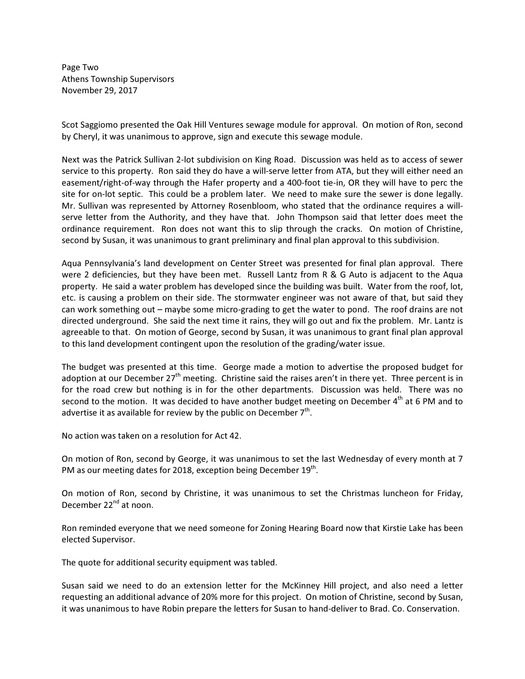Page Two Athens Township Supervisors November 29, 2017

Scot Saggiomo presented the Oak Hill Ventures sewage module for approval. On motion of Ron, second by Cheryl, it was unanimous to approve, sign and execute this sewage module.

Next was the Patrick Sullivan 2-lot subdivision on King Road. Discussion was held as to access of sewer service to this property. Ron said they do have a will-serve letter from ATA, but they will either need an easement/right-of-way through the Hafer property and a 400-foot tie-in, OR they will have to perc the site for on-lot septic. This could be a problem later. We need to make sure the sewer is done legally. Mr. Sullivan was represented by Attorney Rosenbloom, who stated that the ordinance requires a willserve letter from the Authority, and they have that. John Thompson said that letter does meet the ordinance requirement. Ron does not want this to slip through the cracks. On motion of Christine, second by Susan, it was unanimous to grant preliminary and final plan approval to this subdivision.

Aqua Pennsylvania's land development on Center Street was presented for final plan approval. There were 2 deficiencies, but they have been met. Russell Lantz from R & G Auto is adjacent to the Aqua property. He said a water problem has developed since the building was built. Water from the roof, lot, etc. is causing a problem on their side. The stormwater engineer was not aware of that, but said they can work something out – maybe some micro-grading to get the water to pond. The roof drains are not directed underground. She said the next time it rains, they will go out and fix the problem. Mr. Lantz is agreeable to that. On motion of George, second by Susan, it was unanimous to grant final plan approval to this land development contingent upon the resolution of the grading/water issue.

The budget was presented at this time. George made a motion to advertise the proposed budget for adoption at our December  $27<sup>th</sup>$  meeting. Christine said the raises aren't in there yet. Three percent is in for the road crew but nothing is in for the other departments. Discussion was held. There was no second to the motion. It was decided to have another budget meeting on December  $4<sup>th</sup>$  at 6 PM and to advertise it as available for review by the public on December  $7<sup>th</sup>$ .

No action was taken on a resolution for Act 42.

On motion of Ron, second by George, it was unanimous to set the last Wednesday of every month at 7 PM as our meeting dates for 2018, exception being December 19<sup>th</sup>.

On motion of Ron, second by Christine, it was unanimous to set the Christmas luncheon for Friday, December 22<sup>nd</sup> at noon.

Ron reminded everyone that we need someone for Zoning Hearing Board now that Kirstie Lake has been elected Supervisor.

The quote for additional security equipment was tabled.

Susan said we need to do an extension letter for the McKinney Hill project, and also need a letter requesting an additional advance of 20% more for this project. On motion of Christine, second by Susan, it was unanimous to have Robin prepare the letters for Susan to hand-deliver to Brad. Co. Conservation.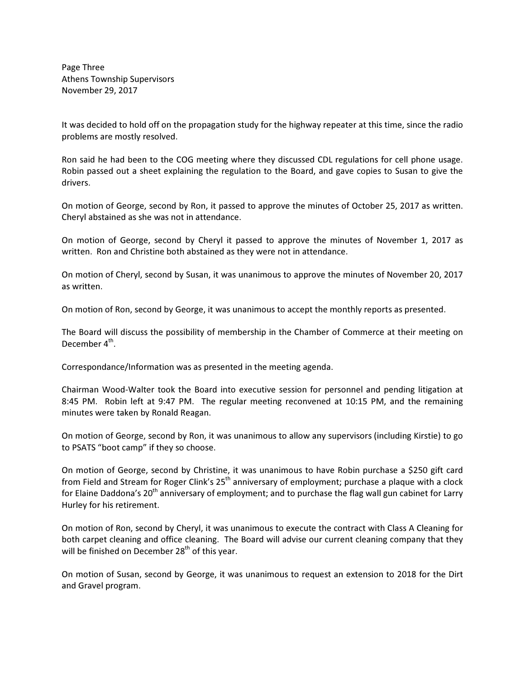Page Three Athens Township Supervisors November 29, 2017

It was decided to hold off on the propagation study for the highway repeater at this time, since the radio problems are mostly resolved.

Ron said he had been to the COG meeting where they discussed CDL regulations for cell phone usage. Robin passed out a sheet explaining the regulation to the Board, and gave copies to Susan to give the drivers.

On motion of George, second by Ron, it passed to approve the minutes of October 25, 2017 as written. Cheryl abstained as she was not in attendance.

On motion of George, second by Cheryl it passed to approve the minutes of November 1, 2017 as written. Ron and Christine both abstained as they were not in attendance.

On motion of Cheryl, second by Susan, it was unanimous to approve the minutes of November 20, 2017 as written.

On motion of Ron, second by George, it was unanimous to accept the monthly reports as presented.

The Board will discuss the possibility of membership in the Chamber of Commerce at their meeting on December 4<sup>th</sup>.

Correspondance/Information was as presented in the meeting agenda.

Chairman Wood-Walter took the Board into executive session for personnel and pending litigation at 8:45 PM. Robin left at 9:47 PM. The regular meeting reconvened at 10:15 PM, and the remaining minutes were taken by Ronald Reagan.

On motion of George, second by Ron, it was unanimous to allow any supervisors (including Kirstie) to go to PSATS "boot camp" if they so choose.

On motion of George, second by Christine, it was unanimous to have Robin purchase a \$250 gift card from Field and Stream for Roger Clink's 25<sup>th</sup> anniversary of employment; purchase a plaque with a clock for Elaine Daddona's 20<sup>th</sup> anniversary of employment; and to purchase the flag wall gun cabinet for Larry Hurley for his retirement.

On motion of Ron, second by Cheryl, it was unanimous to execute the contract with Class A Cleaning for both carpet cleaning and office cleaning. The Board will advise our current cleaning company that they will be finished on December  $28<sup>th</sup>$  of this year.

On motion of Susan, second by George, it was unanimous to request an extension to 2018 for the Dirt and Gravel program.